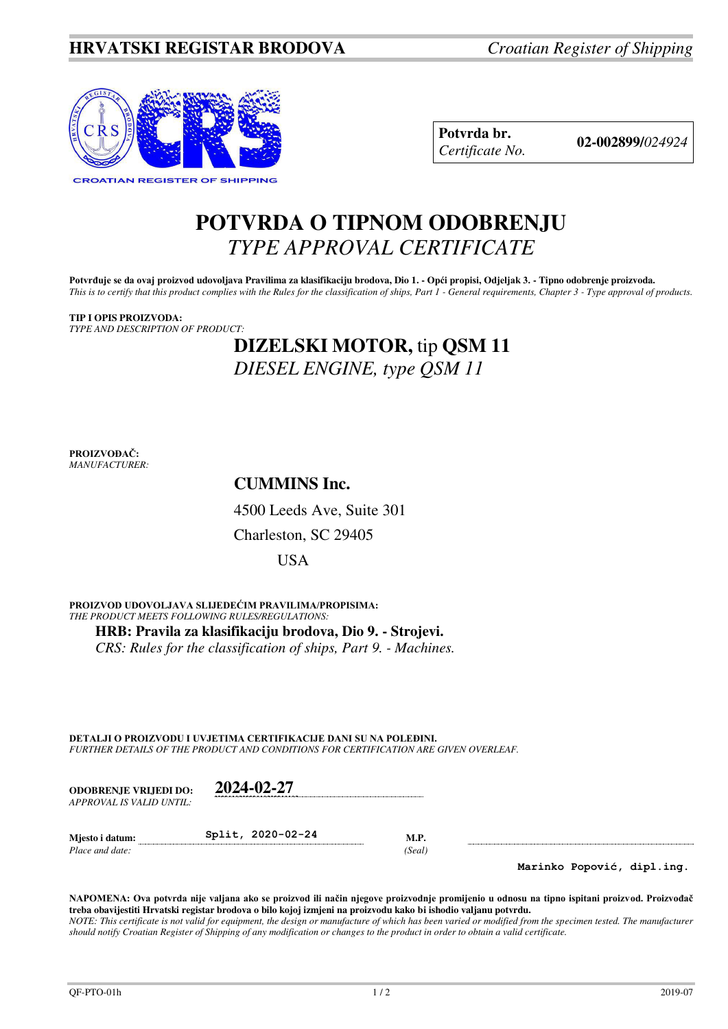

**Potvrda br. 02-002899/***<sup>024924</sup> Certificate No.* 

# **POTVRDA O TIPNOM ODOBRENJU**  *TYPE APPROVAL CERTIFICATE*

Potvrđuje se da ovaj proizvod udovoljava Pravilima za klasifikaciju brodova, Dio 1. - Opći propisi, Odjeljak 3. - Tipno odobrenje proizvoda. *This is to certify that this product complies with the Rules for the classification of ships, Part 1 - General requirements, Chapter 3 - Type approval of products.* 

## **TIP I OPIS PROIZVODA:** *TYPE AND DESCRIPTION OF PRODUCT:*

# **DIZELSKI MOTOR,** tip **QSM 11** *DIESEL ENGINE, type QSM 11*

**PROIZVOĐAČ:** *MANUFACTURER:*

**CUMMINS Inc.** 

4500 Leeds Ave, Suite 301

Charleston, SC 29405

USA

**PROIZVOD UDOVOLJAVA SLIJEDEĆIM PRAVILIMA/PROPISIMA:** *THE PRODUCT MEETS FOLLOWING RULES/REGULATIONS:*  **HRB: Pravila za klasifikaciju brodova, Dio 9. - Strojevi.** *CRS: Rules for the classification of ships, Part 9. - Machines.*

**DETALJI O PROIZVODU I UVJETIMA CERTIFIKACIJE DANI SU NA POLEĐINI.** *FURTHER DETAILS OF THE PRODUCT AND CONDITIONS FOR CERTIFICATION ARE GIVEN OVERLEAF.* 

| <b>ODOBRENJE VRLIEDI DO:</b><br>APPROVAL IS VALID UNTIL: | 2024-02-27        |                       |  |
|----------------------------------------------------------|-------------------|-----------------------|--|
| Miesto i datum:<br>Place and date:                       | Split, 2020-02-24 | <b>M.P.</b><br>(Seal) |  |

**Marinko Popović, dipl.ing.**

**NAPOMENA: Ova potvrda nije valjana ako se proizvod ili način njegove proizvodnje promijenio u odnosu na tipno ispitani proizvod. Proizvođač treba obavijestiti Hrvatski registar brodova o bilo kojoj izmjeni na proizvodu kako bi ishodio valjanu potvrdu.**  *NOTE: This certificate is not valid for equipment, the design or manufacture of which has been varied or modified from the specimen tested. The manufacturer should notify Croatian Register of Shipping of any modification or changes to the product in order to obtain a valid certificate.*